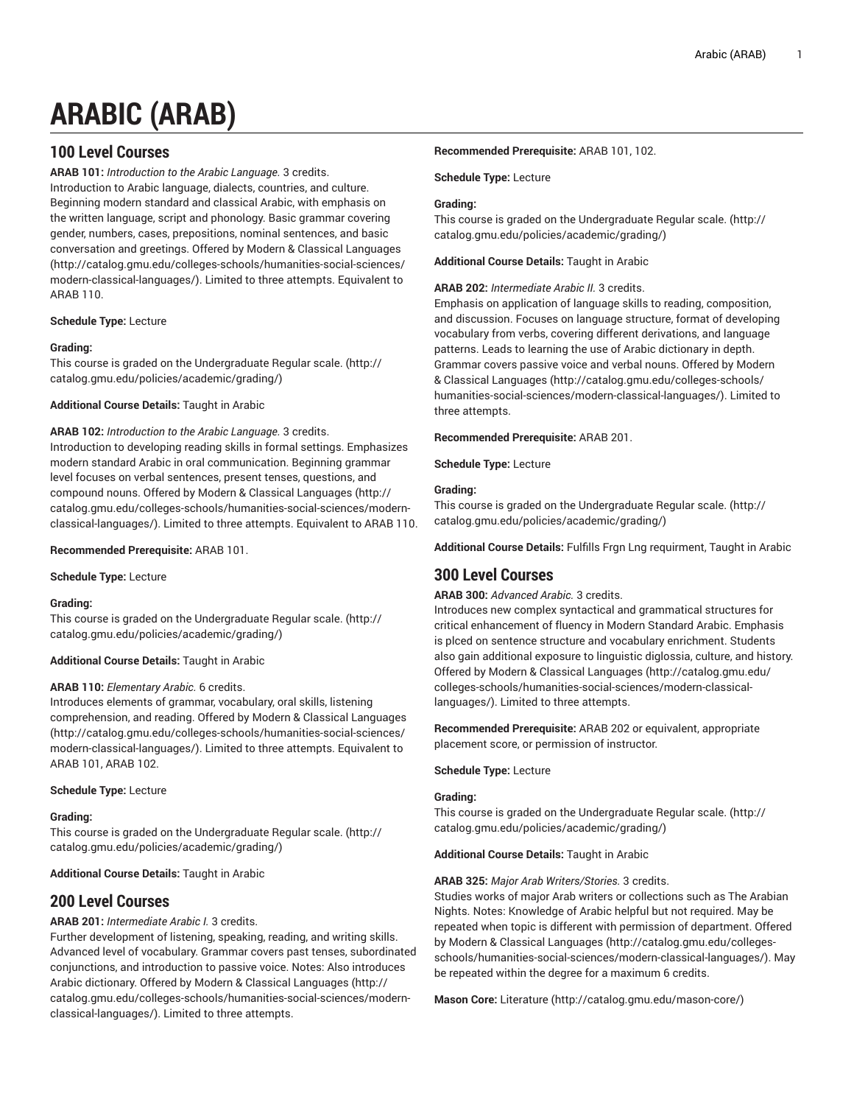# **ARABIC (ARAB)**

# **100 Level Courses**

**ARAB 101:** *Introduction to the Arabic Language.* 3 credits. Introduction to Arabic language, dialects, countries, and culture. Beginning modern standard and classical Arabic, with emphasis on the written language, script and phonology. Basic grammar covering gender, numbers, cases, prepositions, nominal sentences, and basic conversation and greetings. Offered by [Modern & Classical Languages](http://catalog.gmu.edu/colleges-schools/humanities-social-sciences/modern-classical-languages/) ([http://catalog.gmu.edu/colleges-schools/humanities-social-sciences/](http://catalog.gmu.edu/colleges-schools/humanities-social-sciences/modern-classical-languages/) [modern-classical-languages/](http://catalog.gmu.edu/colleges-schools/humanities-social-sciences/modern-classical-languages/)). Limited to three attempts. Equivalent to ARAB 110.

# **Schedule Type:** Lecture

# **Grading:**

This course is graded on the [Undergraduate](http://catalog.gmu.edu/policies/academic/grading/) Regular scale. ([http://](http://catalog.gmu.edu/policies/academic/grading/) [catalog.gmu.edu/policies/academic/grading/\)](http://catalog.gmu.edu/policies/academic/grading/)

# **Additional Course Details:** Taught in Arabic

# **ARAB 102:** *Introduction to the Arabic Language.* 3 credits.

Introduction to developing reading skills in formal settings. Emphasizes modern standard Arabic in oral communication. Beginning grammar level focuses on verbal sentences, present tenses, questions, and compound nouns. Offered by [Modern & Classical Languages \(http://](http://catalog.gmu.edu/colleges-schools/humanities-social-sciences/modern-classical-languages/) [catalog.gmu.edu/colleges-schools/humanities-social-sciences/modern](http://catalog.gmu.edu/colleges-schools/humanities-social-sciences/modern-classical-languages/)[classical-languages/\)](http://catalog.gmu.edu/colleges-schools/humanities-social-sciences/modern-classical-languages/). Limited to three attempts. Equivalent to ARAB 110.

# **Recommended Prerequisite:** ARAB 101.

**Schedule Type:** Lecture

# **Grading:**

This course is graded on the [Undergraduate](http://catalog.gmu.edu/policies/academic/grading/) Regular scale. ([http://](http://catalog.gmu.edu/policies/academic/grading/) [catalog.gmu.edu/policies/academic/grading/\)](http://catalog.gmu.edu/policies/academic/grading/)

# **Additional Course Details:** Taught in Arabic

# **ARAB 110:** *Elementary Arabic.* 6 credits.

Introduces elements of grammar, vocabulary, oral skills, listening comprehension, and reading. Offered by [Modern & Classical Languages](http://catalog.gmu.edu/colleges-schools/humanities-social-sciences/modern-classical-languages/) ([http://catalog.gmu.edu/colleges-schools/humanities-social-sciences/](http://catalog.gmu.edu/colleges-schools/humanities-social-sciences/modern-classical-languages/) [modern-classical-languages/](http://catalog.gmu.edu/colleges-schools/humanities-social-sciences/modern-classical-languages/)). Limited to three attempts. Equivalent to ARAB 101, ARAB 102.

# **Schedule Type:** Lecture

# **Grading:**

This course is graded on the [Undergraduate](http://catalog.gmu.edu/policies/academic/grading/) Regular scale. ([http://](http://catalog.gmu.edu/policies/academic/grading/) [catalog.gmu.edu/policies/academic/grading/\)](http://catalog.gmu.edu/policies/academic/grading/)

**Additional Course Details:** Taught in Arabic

# **200 Level Courses**

# **ARAB 201:** *Intermediate Arabic I.* 3 credits.

Further development of listening, speaking, reading, and writing skills. Advanced level of vocabulary. Grammar covers past tenses, subordinated conjunctions, and introduction to passive voice. Notes: Also introduces Arabic dictionary. Offered by [Modern & Classical Languages](http://catalog.gmu.edu/colleges-schools/humanities-social-sciences/modern-classical-languages/) ([http://](http://catalog.gmu.edu/colleges-schools/humanities-social-sciences/modern-classical-languages/) [catalog.gmu.edu/colleges-schools/humanities-social-sciences/modern](http://catalog.gmu.edu/colleges-schools/humanities-social-sciences/modern-classical-languages/)[classical-languages/\)](http://catalog.gmu.edu/colleges-schools/humanities-social-sciences/modern-classical-languages/). Limited to three attempts.

# **Recommended Prerequisite:** ARAB 101, 102.

# **Schedule Type:** Lecture

# **Grading:**

This course is graded on the [Undergraduate](http://catalog.gmu.edu/policies/academic/grading/) Regular scale. ([http://](http://catalog.gmu.edu/policies/academic/grading/) [catalog.gmu.edu/policies/academic/grading/](http://catalog.gmu.edu/policies/academic/grading/))

# **Additional Course Details:** Taught in Arabic

# **ARAB 202:** *Intermediate Arabic II.* 3 credits.

Emphasis on application of language skills to reading, composition, and discussion. Focuses on language structure, format of developing vocabulary from verbs, covering different derivations, and language patterns. Leads to learning the use of Arabic dictionary in depth. Grammar covers passive voice and verbal nouns. Offered by [Modern](http://catalog.gmu.edu/colleges-schools/humanities-social-sciences/modern-classical-languages/) [& Classical Languages](http://catalog.gmu.edu/colleges-schools/humanities-social-sciences/modern-classical-languages/) [\(http://catalog.gmu.edu/colleges-schools/](http://catalog.gmu.edu/colleges-schools/humanities-social-sciences/modern-classical-languages/) [humanities-social-sciences/modern-classical-languages/\)](http://catalog.gmu.edu/colleges-schools/humanities-social-sciences/modern-classical-languages/). Limited to three attempts.

**Recommended Prerequisite:** ARAB 201.

**Schedule Type:** Lecture

# **Grading:**

This course is graded on the [Undergraduate](http://catalog.gmu.edu/policies/academic/grading/) Regular scale. ([http://](http://catalog.gmu.edu/policies/academic/grading/) [catalog.gmu.edu/policies/academic/grading/](http://catalog.gmu.edu/policies/academic/grading/))

**Additional Course Details:** Fulfills Frgn Lng requirment, Taught in Arabic

# **300 Level Courses**

# **ARAB 300:** *Advanced Arabic.* 3 credits.

Introduces new complex syntactical and grammatical structures for critical enhancement of fluency in Modern Standard Arabic. Emphasis is plced on sentence structure and vocabulary enrichment. Students also gain additional exposure to linguistic diglossia, culture, and history. Offered by [Modern & Classical Languages](http://catalog.gmu.edu/colleges-schools/humanities-social-sciences/modern-classical-languages/) ([http://catalog.gmu.edu/](http://catalog.gmu.edu/colleges-schools/humanities-social-sciences/modern-classical-languages/) [colleges-schools/humanities-social-sciences/modern-classical](http://catalog.gmu.edu/colleges-schools/humanities-social-sciences/modern-classical-languages/)[languages/](http://catalog.gmu.edu/colleges-schools/humanities-social-sciences/modern-classical-languages/)). Limited to three attempts.

**Recommended Prerequisite:** ARAB 202 or equivalent, appropriate placement score, or permission of instructor.

# **Schedule Type:** Lecture

# **Grading:**

This course is graded on the [Undergraduate](http://catalog.gmu.edu/policies/academic/grading/) Regular scale. ([http://](http://catalog.gmu.edu/policies/academic/grading/) [catalog.gmu.edu/policies/academic/grading/](http://catalog.gmu.edu/policies/academic/grading/))

# **Additional Course Details:** Taught in Arabic

# **ARAB 325:** *Major Arab Writers/Stories.* 3 credits.

Studies works of major Arab writers or collections such as The Arabian Nights. Notes: Knowledge of Arabic helpful but not required. May be repeated when topic is different with permission of department. Offered by [Modern & Classical Languages \(http://catalog.gmu.edu/colleges](http://catalog.gmu.edu/colleges-schools/humanities-social-sciences/modern-classical-languages/)[schools/humanities-social-sciences/modern-classical-languages/](http://catalog.gmu.edu/colleges-schools/humanities-social-sciences/modern-classical-languages/)). May be repeated within the degree for a maximum 6 credits.

**Mason Core:** [Literature](http://catalog.gmu.edu/mason-core/) ([http://catalog.gmu.edu/mason-core/\)](http://catalog.gmu.edu/mason-core/)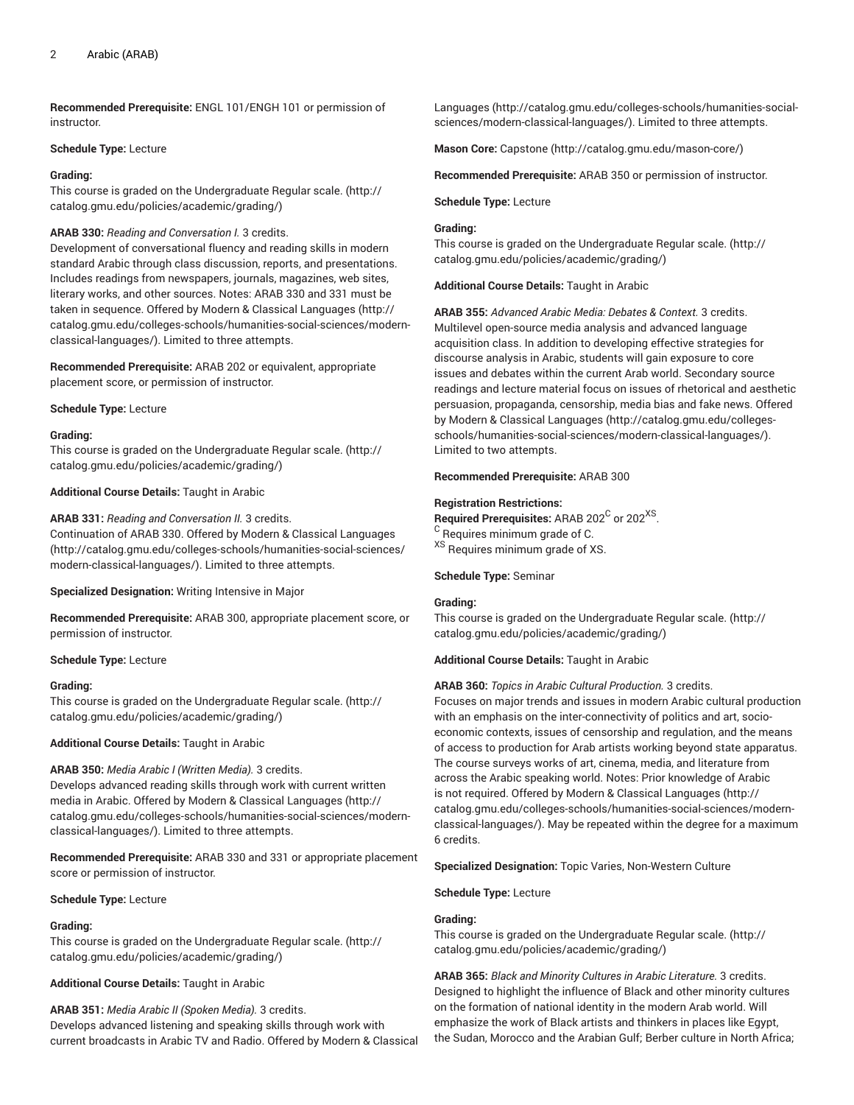**Recommended Prerequisite:** ENGL 101/ENGH 101 or permission of instructor.

#### **Schedule Type:** Lecture

#### **Grading:**

This course is graded on the [Undergraduate](http://catalog.gmu.edu/policies/academic/grading/) Regular scale. ([http://](http://catalog.gmu.edu/policies/academic/grading/) [catalog.gmu.edu/policies/academic/grading/\)](http://catalog.gmu.edu/policies/academic/grading/)

# **ARAB 330:** *Reading and Conversation I.* 3 credits.

Development of conversational fluency and reading skills in modern standard Arabic through class discussion, reports, and presentations. Includes readings from newspapers, journals, magazines, web sites, literary works, and other sources. Notes: ARAB 330 and 331 must be taken in sequence. Offered by [Modern & Classical Languages](http://catalog.gmu.edu/colleges-schools/humanities-social-sciences/modern-classical-languages/) ([http://](http://catalog.gmu.edu/colleges-schools/humanities-social-sciences/modern-classical-languages/) [catalog.gmu.edu/colleges-schools/humanities-social-sciences/modern](http://catalog.gmu.edu/colleges-schools/humanities-social-sciences/modern-classical-languages/)[classical-languages/\)](http://catalog.gmu.edu/colleges-schools/humanities-social-sciences/modern-classical-languages/). Limited to three attempts.

# **Recommended Prerequisite:** ARAB 202 or equivalent, appropriate placement score, or permission of instructor.

**Schedule Type:** Lecture

# **Grading:**

This course is graded on the [Undergraduate](http://catalog.gmu.edu/policies/academic/grading/) Regular scale. ([http://](http://catalog.gmu.edu/policies/academic/grading/) [catalog.gmu.edu/policies/academic/grading/\)](http://catalog.gmu.edu/policies/academic/grading/)

**Additional Course Details:** Taught in Arabic

# **ARAB 331:** *Reading and Conversation II.* 3 credits.

Continuation of ARAB 330. Offered by [Modern & Classical Languages](http://catalog.gmu.edu/colleges-schools/humanities-social-sciences/modern-classical-languages/) ([http://catalog.gmu.edu/colleges-schools/humanities-social-sciences/](http://catalog.gmu.edu/colleges-schools/humanities-social-sciences/modern-classical-languages/) [modern-classical-languages/](http://catalog.gmu.edu/colleges-schools/humanities-social-sciences/modern-classical-languages/)). Limited to three attempts.

**Specialized Designation:** Writing Intensive in Major

**Recommended Prerequisite:** ARAB 300, appropriate placement score, or permission of instructor.

**Schedule Type:** Lecture

#### **Grading:**

This course is graded on the [Undergraduate](http://catalog.gmu.edu/policies/academic/grading/) Regular scale. ([http://](http://catalog.gmu.edu/policies/academic/grading/) [catalog.gmu.edu/policies/academic/grading/\)](http://catalog.gmu.edu/policies/academic/grading/)

**Additional Course Details:** Taught in Arabic

# **ARAB 350:** *Media Arabic I (Written Media).* 3 credits.

Develops advanced reading skills through work with current written media in Arabic. Offered by [Modern & Classical Languages \(http://](http://catalog.gmu.edu/colleges-schools/humanities-social-sciences/modern-classical-languages/) [catalog.gmu.edu/colleges-schools/humanities-social-sciences/modern](http://catalog.gmu.edu/colleges-schools/humanities-social-sciences/modern-classical-languages/)[classical-languages/\)](http://catalog.gmu.edu/colleges-schools/humanities-social-sciences/modern-classical-languages/). Limited to three attempts.

**Recommended Prerequisite:** ARAB 330 and 331 or appropriate placement score or permission of instructor.

**Schedule Type:** Lecture

# **Grading:**

This course is graded on the [Undergraduate](http://catalog.gmu.edu/policies/academic/grading/) Regular scale. ([http://](http://catalog.gmu.edu/policies/academic/grading/) [catalog.gmu.edu/policies/academic/grading/\)](http://catalog.gmu.edu/policies/academic/grading/)

# **Additional Course Details:** Taught in Arabic

**ARAB 351:** *Media Arabic II (Spoken Media).* 3 credits. Develops advanced listening and speaking skills through work with current broadcasts in Arabic TV and Radio. Offered by [Modern & Classical](http://catalog.gmu.edu/colleges-schools/humanities-social-sciences/modern-classical-languages/) [Languages](http://catalog.gmu.edu/colleges-schools/humanities-social-sciences/modern-classical-languages/) ([http://catalog.gmu.edu/colleges-schools/humanities-social](http://catalog.gmu.edu/colleges-schools/humanities-social-sciences/modern-classical-languages/)[sciences/modern-classical-languages/\)](http://catalog.gmu.edu/colleges-schools/humanities-social-sciences/modern-classical-languages/). Limited to three attempts.

**Mason Core:** [Capstone](http://catalog.gmu.edu/mason-core/) ([http://catalog.gmu.edu/mason-core/\)](http://catalog.gmu.edu/mason-core/)

**Recommended Prerequisite:** ARAB 350 or permission of instructor.

#### **Schedule Type:** Lecture

#### **Grading:**

This course is graded on the [Undergraduate](http://catalog.gmu.edu/policies/academic/grading/) Regular scale. ([http://](http://catalog.gmu.edu/policies/academic/grading/) [catalog.gmu.edu/policies/academic/grading/](http://catalog.gmu.edu/policies/academic/grading/))

**Additional Course Details:** Taught in Arabic

**ARAB 355:** *Advanced Arabic Media: Debates & Context.* 3 credits. Multilevel open-source media analysis and advanced language acquisition class. In addition to developing effective strategies for discourse analysis in Arabic, students will gain exposure to core issues and debates within the current Arab world. Secondary source readings and lecture material focus on issues of rhetorical and aesthetic persuasion, propaganda, censorship, media bias and fake news. Offered by [Modern & Classical Languages \(http://catalog.gmu.edu/colleges](http://catalog.gmu.edu/colleges-schools/humanities-social-sciences/modern-classical-languages/)[schools/humanities-social-sciences/modern-classical-languages/](http://catalog.gmu.edu/colleges-schools/humanities-social-sciences/modern-classical-languages/)). Limited to two attempts.

#### **Recommended Prerequisite:** ARAB 300

#### **Registration Restrictions:**

Required Prerequisites: ARAB 202<sup>C</sup> or 202<sup>XS</sup>.  $\rm ^C$  Requires minimum grade of C. XS Requires minimum grade of XS.

# **Schedule Type:** Seminar

#### **Grading:**

This course is graded on the [Undergraduate](http://catalog.gmu.edu/policies/academic/grading/) Regular scale. ([http://](http://catalog.gmu.edu/policies/academic/grading/) [catalog.gmu.edu/policies/academic/grading/](http://catalog.gmu.edu/policies/academic/grading/))

# **Additional Course Details:** Taught in Arabic

**ARAB 360:** *Topics in Arabic Cultural Production.* 3 credits. Focuses on major trends and issues in modern Arabic cultural production with an emphasis on the inter-connectivity of politics and art, socioeconomic contexts, issues of censorship and regulation, and the means of access to production for Arab artists working beyond state apparatus. The course surveys works of art, cinema, media, and literature from across the Arabic speaking world. Notes: Prior knowledge of Arabic is not required. Offered by [Modern & Classical Languages \(http://](http://catalog.gmu.edu/colleges-schools/humanities-social-sciences/modern-classical-languages/) [catalog.gmu.edu/colleges-schools/humanities-social-sciences/modern](http://catalog.gmu.edu/colleges-schools/humanities-social-sciences/modern-classical-languages/)[classical-languages/\)](http://catalog.gmu.edu/colleges-schools/humanities-social-sciences/modern-classical-languages/). May be repeated within the degree for a maximum 6 credits.

**Specialized Designation:** Topic Varies, Non-Western Culture

**Schedule Type:** Lecture

#### **Grading:**

This course is graded on the [Undergraduate](http://catalog.gmu.edu/policies/academic/grading/) Regular scale. ([http://](http://catalog.gmu.edu/policies/academic/grading/) [catalog.gmu.edu/policies/academic/grading/](http://catalog.gmu.edu/policies/academic/grading/))

**ARAB 365:** *Black and Minority Cultures in Arabic Literature.* 3 credits. Designed to highlight the influence of Black and other minority cultures on the formation of national identity in the modern Arab world. Will emphasize the work of Black artists and thinkers in places like Egypt, the Sudan, Morocco and the Arabian Gulf; Berber culture in North Africa;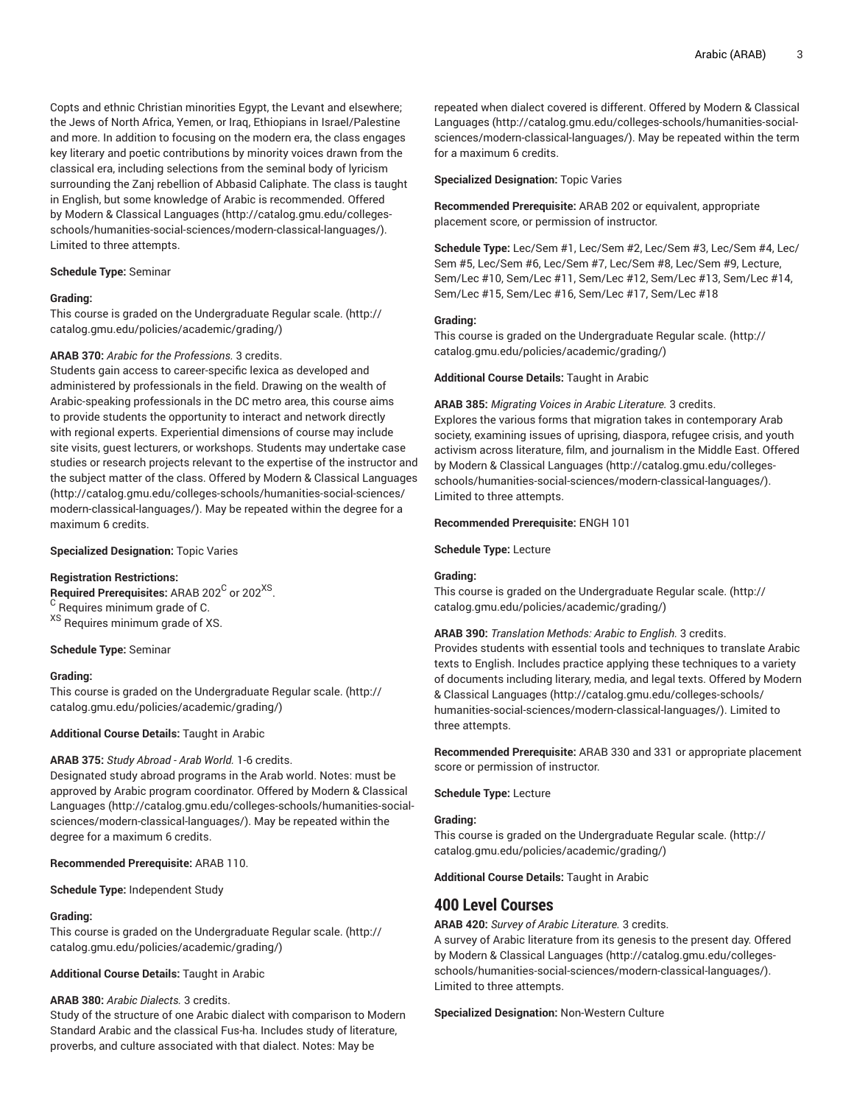Copts and ethnic Christian minorities Egypt, the Levant and elsewhere; the Jews of North Africa, Yemen, or Iraq, Ethiopians in Israel/Palestine and more. In addition to focusing on the modern era, the class engages key literary and poetic contributions by minority voices drawn from the classical era, including selections from the seminal body of lyricism surrounding the Zanj rebellion of Abbasid Caliphate. The class is taught in English, but some knowledge of Arabic is recommended. Offered by [Modern & Classical Languages](http://catalog.gmu.edu/colleges-schools/humanities-social-sciences/modern-classical-languages/) ([http://catalog.gmu.edu/colleges](http://catalog.gmu.edu/colleges-schools/humanities-social-sciences/modern-classical-languages/)[schools/humanities-social-sciences/modern-classical-languages/\)](http://catalog.gmu.edu/colleges-schools/humanities-social-sciences/modern-classical-languages/). Limited to three attempts.

#### **Schedule Type:** Seminar

#### **Grading:**

This course is graded on the [Undergraduate](http://catalog.gmu.edu/policies/academic/grading/) Regular scale. ([http://](http://catalog.gmu.edu/policies/academic/grading/) [catalog.gmu.edu/policies/academic/grading/\)](http://catalog.gmu.edu/policies/academic/grading/)

#### **ARAB 370:** *Arabic for the Professions.* 3 credits.

Students gain access to career-specific lexica as developed and administered by professionals in the field. Drawing on the wealth of Arabic-speaking professionals in the DC metro area, this course aims to provide students the opportunity to interact and network directly with regional experts. Experiential dimensions of course may include site visits, guest lecturers, or workshops. Students may undertake case studies or research projects relevant to the expertise of the instructor and the subject matter of the class. Offered by [Modern & Classical Languages](http://catalog.gmu.edu/colleges-schools/humanities-social-sciences/modern-classical-languages/) ([http://catalog.gmu.edu/colleges-schools/humanities-social-sciences/](http://catalog.gmu.edu/colleges-schools/humanities-social-sciences/modern-classical-languages/) [modern-classical-languages/](http://catalog.gmu.edu/colleges-schools/humanities-social-sciences/modern-classical-languages/)). May be repeated within the degree for a maximum 6 credits.

#### **Specialized Designation:** Topic Varies

#### **Registration Restrictions:**

 $\mathsf{Required}$  Prerequisites: ARAB 202 $^\mathsf{C}$  or 202 $^\mathsf{XS}$ . <sup>C</sup> Requires minimum grade of C. XS Requires minimum grade of XS.

**Schedule Type:** Seminar

#### **Grading:**

This course is graded on the [Undergraduate](http://catalog.gmu.edu/policies/academic/grading/) Regular scale. ([http://](http://catalog.gmu.edu/policies/academic/grading/) [catalog.gmu.edu/policies/academic/grading/\)](http://catalog.gmu.edu/policies/academic/grading/)

#### **Additional Course Details:** Taught in Arabic

# **ARAB 375:** *Study Abroad - Arab World.* 1-6 credits.

Designated study abroad programs in the Arab world. Notes: must be approved by Arabic program coordinator. Offered by [Modern & Classical](http://catalog.gmu.edu/colleges-schools/humanities-social-sciences/modern-classical-languages/) [Languages \(http://catalog.gmu.edu/colleges-schools/humanities-social](http://catalog.gmu.edu/colleges-schools/humanities-social-sciences/modern-classical-languages/)[sciences/modern-classical-languages/](http://catalog.gmu.edu/colleges-schools/humanities-social-sciences/modern-classical-languages/)). May be repeated within the degree for a maximum 6 credits.

#### **Recommended Prerequisite:** ARAB 110.

**Schedule Type:** Independent Study

#### **Grading:**

This course is graded on the [Undergraduate](http://catalog.gmu.edu/policies/academic/grading/) Regular scale. ([http://](http://catalog.gmu.edu/policies/academic/grading/) [catalog.gmu.edu/policies/academic/grading/\)](http://catalog.gmu.edu/policies/academic/grading/)

# **Additional Course Details:** Taught in Arabic

#### **ARAB 380:** *Arabic Dialects.* 3 credits.

Study of the structure of one Arabic dialect with comparison to Modern Standard Arabic and the classical Fus-ha. Includes study of literature, proverbs, and culture associated with that dialect. Notes: May be

repeated when dialect covered is different. Offered by [Modern & Classical](http://catalog.gmu.edu/colleges-schools/humanities-social-sciences/modern-classical-languages/) [Languages](http://catalog.gmu.edu/colleges-schools/humanities-social-sciences/modern-classical-languages/) ([http://catalog.gmu.edu/colleges-schools/humanities-social](http://catalog.gmu.edu/colleges-schools/humanities-social-sciences/modern-classical-languages/)[sciences/modern-classical-languages/\)](http://catalog.gmu.edu/colleges-schools/humanities-social-sciences/modern-classical-languages/). May be repeated within the term for a maximum 6 credits.

#### **Specialized Designation:** Topic Varies

**Recommended Prerequisite:** ARAB 202 or equivalent, appropriate placement score, or permission of instructor.

**Schedule Type:** Lec/Sem #1, Lec/Sem #2, Lec/Sem #3, Lec/Sem #4, Lec/ Sem #5, Lec/Sem #6, Lec/Sem #7, Lec/Sem #8, Lec/Sem #9, Lecture, Sem/Lec #10, Sem/Lec #11, Sem/Lec #12, Sem/Lec #13, Sem/Lec #14, Sem/Lec #15, Sem/Lec #16, Sem/Lec #17, Sem/Lec #18

#### **Grading:**

This course is graded on the [Undergraduate](http://catalog.gmu.edu/policies/academic/grading/) Regular scale. ([http://](http://catalog.gmu.edu/policies/academic/grading/) [catalog.gmu.edu/policies/academic/grading/](http://catalog.gmu.edu/policies/academic/grading/))

**Additional Course Details:** Taught in Arabic

**ARAB 385:** *Migrating Voices in Arabic Literature.* 3 credits.

Explores the various forms that migration takes in contemporary Arab society, examining issues of uprising, diaspora, refugee crisis, and youth activism across literature, film, and journalism in the Middle East. Offered by [Modern & Classical Languages \(http://catalog.gmu.edu/colleges](http://catalog.gmu.edu/colleges-schools/humanities-social-sciences/modern-classical-languages/)[schools/humanities-social-sciences/modern-classical-languages/](http://catalog.gmu.edu/colleges-schools/humanities-social-sciences/modern-classical-languages/)). Limited to three attempts.

# **Recommended Prerequisite:** ENGH 101

**Schedule Type:** Lecture

# **Grading:**

This course is graded on the [Undergraduate](http://catalog.gmu.edu/policies/academic/grading/) Regular scale. ([http://](http://catalog.gmu.edu/policies/academic/grading/) [catalog.gmu.edu/policies/academic/grading/](http://catalog.gmu.edu/policies/academic/grading/))

#### **ARAB 390:** *Translation Methods: Arabic to English.* 3 credits.

Provides students with essential tools and techniques to translate Arabic texts to English. Includes practice applying these techniques to a variety of documents including literary, media, and legal texts. Offered by [Modern](http://catalog.gmu.edu/colleges-schools/humanities-social-sciences/modern-classical-languages/) [& Classical Languages](http://catalog.gmu.edu/colleges-schools/humanities-social-sciences/modern-classical-languages/) [\(http://catalog.gmu.edu/colleges-schools/](http://catalog.gmu.edu/colleges-schools/humanities-social-sciences/modern-classical-languages/) [humanities-social-sciences/modern-classical-languages/\)](http://catalog.gmu.edu/colleges-schools/humanities-social-sciences/modern-classical-languages/). Limited to three attempts.

**Recommended Prerequisite:** ARAB 330 and 331 or appropriate placement score or permission of instructor.

# **Schedule Type:** Lecture

#### **Grading:**

This course is graded on the [Undergraduate](http://catalog.gmu.edu/policies/academic/grading/) Regular scale. ([http://](http://catalog.gmu.edu/policies/academic/grading/) [catalog.gmu.edu/policies/academic/grading/](http://catalog.gmu.edu/policies/academic/grading/))

**Additional Course Details:** Taught in Arabic

# **400 Level Courses**

#### **ARAB 420:** *Survey of Arabic Literature.* 3 credits.

A survey of Arabic literature from its genesis to the present day. Offered by [Modern & Classical Languages \(http://catalog.gmu.edu/colleges](http://catalog.gmu.edu/colleges-schools/humanities-social-sciences/modern-classical-languages/)[schools/humanities-social-sciences/modern-classical-languages/](http://catalog.gmu.edu/colleges-schools/humanities-social-sciences/modern-classical-languages/)). Limited to three attempts.

#### **Specialized Designation:** Non-Western Culture